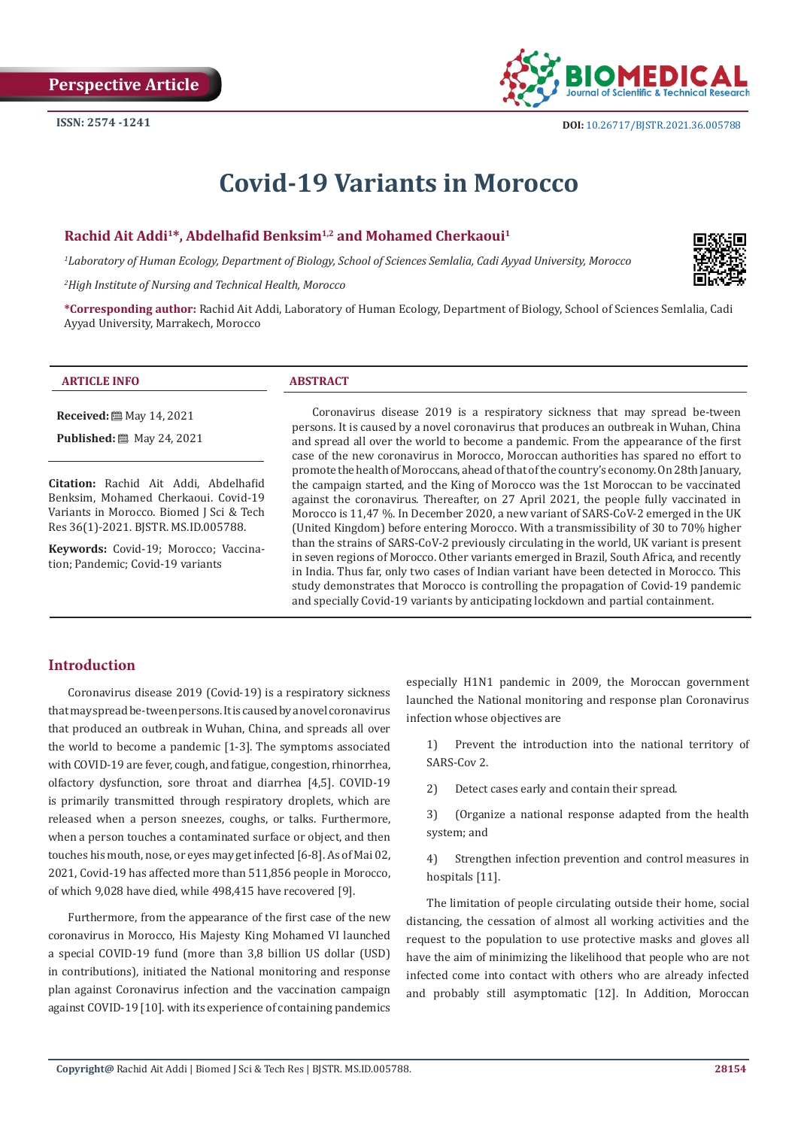

# **Covid-19 Variants in Morocco**

## **Rachid Ait Addi1\*, Abdelhafid Benksim1,2 and Mohamed Cherkaoui<sup>1</sup>**

*1 Laboratory of Human Ecology, Department of Biology, School of Sciences Semlalia, Cadi Ayyad University, Morocco*

*2 High Institute of Nursing and Technical Health, Morocco*



**\*Corresponding author:** Rachid Ait Addi, Laboratory of Human Ecology, Department of Biology, School of Sciences Semlalia, Cadi Ayyad University, Marrakech, Morocco

| A CITY<br><b>INFO</b><br>AR <sup>7</sup><br>71. VIII |
|------------------------------------------------------|
|------------------------------------------------------|

**Received:** ■ May 14, 2021

**Published:** 圖 May 24, 2021

**Citation:** Rachid Ait Addi, Abdelhafid Benksim, Mohamed Cherkaoui. Covid-19 Variants in Morocco. Biomed J Sci & Tech Res 36(1)-2021. BJSTR. MS.ID.005788.

**Keywords:** Covid-19; Morocco; Vaccination; Pandemic; Covid-19 variants

Coronavirus disease 2019 is a respiratory sickness that may spread be-tween persons. It is caused by a novel coronavirus that produces an outbreak in Wuhan, China and spread all over the world to become a pandemic. From the appearance of the first case of the new coronavirus in Morocco, Moroccan authorities has spared no effort to promote the health of Moroccans, ahead of that of the country's economy. On 28th January, the campaign started, and the King of Morocco was the 1st Moroccan to be vaccinated against the coronavirus. Thereafter, on 27 April 2021, the people fully vaccinated in Morocco is 11,47 %. In December 2020, a new variant of SARS-CoV-2 emerged in the UK (United Kingdom) before entering Morocco. With a transmissibility of 30 to 70% higher than the strains of SARS-CoV-2 previously circulating in the world, UK variant is present in seven regions of Morocco. Other variants emerged in Brazil, South Africa, and recently in India. Thus far, only two cases of Indian variant have been detected in Morocco. This study demonstrates that Morocco is controlling the propagation of Covid-19 pandemic and specially Covid-19 variants by anticipating lockdown and partial containment.

# **Introduction**

Coronavirus disease 2019 (Covid-19) is a respiratory sickness that may spread be-tween persons. It is caused by a novel coronavirus that produced an outbreak in Wuhan, China, and spreads all over the world to become a pandemic [1-3]. The symptoms associated with COVID-19 are fever, cough, and fatigue, congestion, rhinorrhea, olfactory dysfunction, sore throat and diarrhea [4,5]. COVID-19 is primarily transmitted through respiratory droplets, which are released when a person sneezes, coughs, or talks. Furthermore, when a person touches a contaminated surface or object, and then touches his mouth, nose, or eyes may get infected [6-8]. As of Mai 02, 2021, Covid-19 has affected more than 511,856 people in Morocco, of which 9,028 have died, while 498,415 have recovered [9].

Furthermore, from the appearance of the first case of the new coronavirus in Morocco, His Majesty King Mohamed VI launched a special COVID-19 fund (more than 3,8 billion US dollar (USD) in contributions), initiated the National monitoring and response plan against Coronavirus infection and the vaccination campaign against COVID-19 [10]. with its experience of containing pandemics

especially H1N1 pandemic in 2009, the Moroccan government launched the National monitoring and response plan Coronavirus infection whose objectives are

1) Prevent the introduction into the national territory of SARS-Cov 2.

2) Detect cases early and contain their spread.

3) (Organize a national response adapted from the health system; and

4) Strengthen infection prevention and control measures in hospitals [11].

The limitation of people circulating outside their home, social distancing, the cessation of almost all working activities and the request to the population to use protective masks and gloves all have the aim of minimizing the likelihood that people who are not infected come into contact with others who are already infected and probably still asymptomatic [12]. In Addition, Moroccan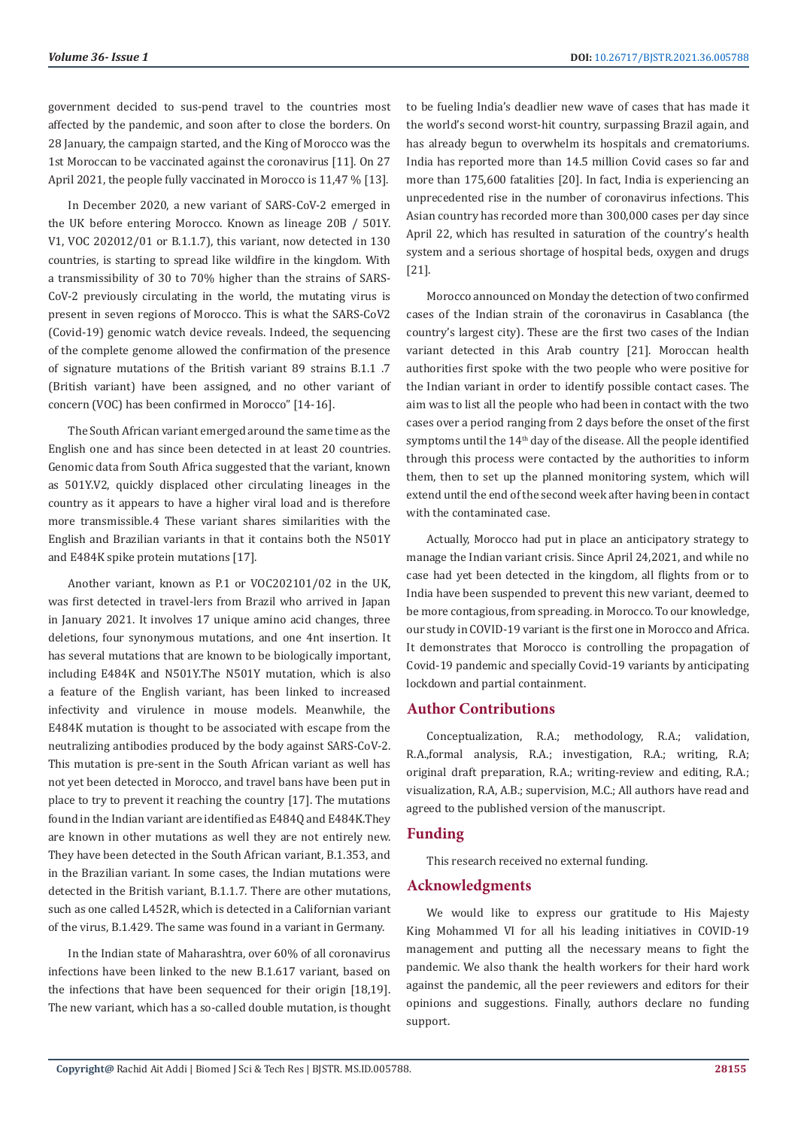government decided to sus-pend travel to the countries most affected by the pandemic, and soon after to close the borders. On 28 January, the campaign started, and the King of Morocco was the 1st Moroccan to be vaccinated against the coronavirus [11]. On 27 April 2021, the people fully vaccinated in Morocco is 11,47 % [13].

In December 2020, a new variant of SARS-CoV-2 emerged in the UK before entering Morocco. Known as lineage 20B / 501Y. V1, VOC 202012/01 or B.1.1.7), this variant, now detected in 130 countries, is starting to spread like wildfire in the kingdom. With a transmissibility of 30 to 70% higher than the strains of SARS-CoV-2 previously circulating in the world, the mutating virus is present in seven regions of Morocco. This is what the SARS-CoV2 (Covid-19) genomic watch device reveals. Indeed, the sequencing of the complete genome allowed the confirmation of the presence of signature mutations of the British variant 89 strains B.1.1 .7 (British variant) have been assigned, and no other variant of concern (VOC) has been confirmed in Morocco" [14-16].

The South African variant emerged around the same time as the English one and has since been detected in at least 20 countries. Genomic data from South Africa suggested that the variant, known as 501Y.V2, quickly displaced other circulating lineages in the country as it appears to have a higher viral load and is therefore more transmissible.4 These variant shares similarities with the English and Brazilian variants in that it contains both the N501Y and E484K spike protein mutations [17].

Another variant, known as P.1 or VOC202101/02 in the UK, was first detected in travel-lers from Brazil who arrived in Japan in January 2021. It involves 17 unique amino acid changes, three deletions, four synonymous mutations, and one 4nt insertion. It has several mutations that are known to be biologically important, including E484K and N501Y.The N501Y mutation, which is also a feature of the English variant, has been linked to increased infectivity and virulence in mouse models. Meanwhile, the E484K mutation is thought to be associated with escape from the neutralizing antibodies produced by the body against SARS-CoV-2. This mutation is pre-sent in the South African variant as well has not yet been detected in Morocco, and travel bans have been put in place to try to prevent it reaching the country [17]. The mutations found in the Indian variant are identified as E484Q and E484K.They are known in other mutations as well they are not entirely new. They have been detected in the South African variant, B.1.353, and in the Brazilian variant. In some cases, the Indian mutations were detected in the British variant, B.1.1.7. There are other mutations, such as one called L452R, which is detected in a Californian variant of the virus, B.1.429. The same was found in a variant in Germany.

In the Indian state of Maharashtra, over 60% of all coronavirus infections have been linked to the new B.1.617 variant, based on the infections that have been sequenced for their origin [18,19]. The new variant, which has a so-called double mutation, is thought to be fueling India's deadlier new wave of cases that has made it the world's second worst-hit country, surpassing Brazil again, and has already begun to overwhelm its hospitals and crematoriums. India has reported more than 14.5 million Covid cases so far and more than 175,600 fatalities [20]. In fact, India is experiencing an unprecedented rise in the number of coronavirus infections. This Asian country has recorded more than 300,000 cases per day since April 22, which has resulted in saturation of the country's health system and a serious shortage of hospital beds, oxygen and drugs [21].

Morocco announced on Monday the detection of two confirmed cases of the Indian strain of the coronavirus in Casablanca (the country's largest city). These are the first two cases of the Indian variant detected in this Arab country [21]. Moroccan health authorities first spoke with the two people who were positive for the Indian variant in order to identify possible contact cases. The aim was to list all the people who had been in contact with the two cases over a period ranging from 2 days before the onset of the first symptoms until the 14<sup>th</sup> day of the disease. All the people identified through this process were contacted by the authorities to inform them, then to set up the planned monitoring system, which will extend until the end of the second week after having been in contact with the contaminated case.

Actually, Morocco had put in place an anticipatory strategy to manage the Indian variant crisis. Since April 24,2021, and while no case had yet been detected in the kingdom, all flights from or to India have been suspended to prevent this new variant, deemed to be more contagious, from spreading. in Morocco. To our knowledge, our study in COVID-19 variant is the first one in Morocco and Africa. It demonstrates that Morocco is controlling the propagation of Covid-19 pandemic and specially Covid-19 variants by anticipating lockdown and partial containment.

## **Author Contributions**

Conceptualization, R.A.; methodology, R.A.; validation, R.A.,formal analysis, R.A.; investigation, R.A.; writing, R.A; original draft preparation, R.A.; writing-review and editing, R.A.; visualization, R.A, A.B.; supervision, M.C.; All authors have read and agreed to the published version of the manuscript.

# **Funding**

This research received no external funding.

## **Acknowledgments**

We would like to express our gratitude to His Majesty King Mohammed VI for all his leading initiatives in COVID-19 management and putting all the necessary means to fight the pandemic. We also thank the health workers for their hard work against the pandemic, all the peer reviewers and editors for their opinions and suggestions. Finally, authors declare no funding support.